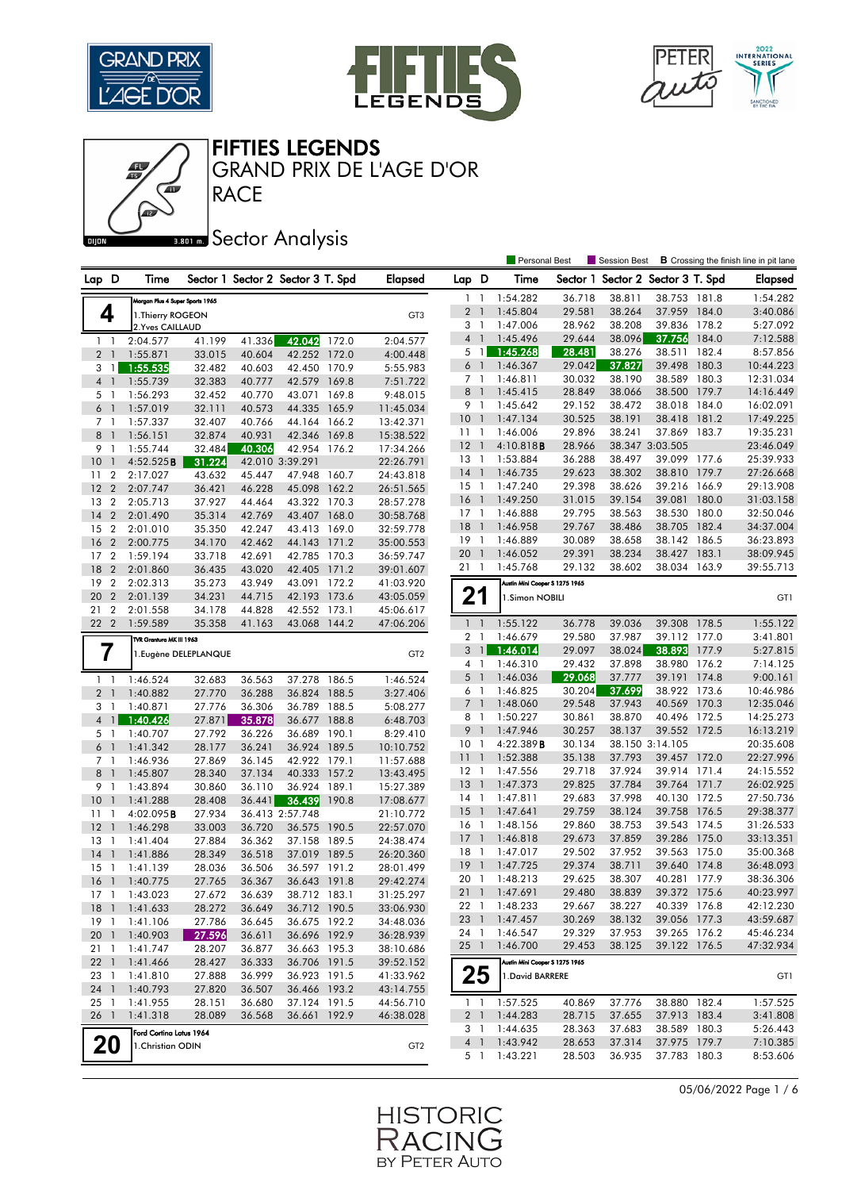

心







GRAND PRIX DE L'AGE D'OR

ண**ை**Sector Analysis

RACE

#### Personal Best **S** Session Best **B** Crossing the finish line in pit lane Lap D Time Sector 1 Sector 2 Sector 3 T. Spd Elapsed Lap D Time Sector 1 Sector 2 Sector 3 T. Spd Elapsed an Plus 4 Super Sports 1965 **4** Internet March 1986<br>2 Yuse Colliable Research 2.Yves CAILLAUD 1.Thierry ROGEON 1 1 2:04.577 41.199 41.336 42.042 172.0 2:04.577 2 1 1:55.871 33.015 40.604 42.252 172.0 4:00.448 3 1 1:55.535 32.482 40.603 42.450 170.9 5:55.983 4 1 1:55.739 32.383 40.777 42.579 169.8 7:51.722 5 1 1:56.293 32.452 40.770 43.071 169.8 9:48.015 6 1 1:57.019 32.111 40.573 44.335 165.9 11:45.034 7 1 1:57.337 32.407 40.766 44.164 166.2 13:42.371 8 1 1:56.151 32.874 40.931 42.346 169.8 15:38.522 9 1 1:55.744 32.484 40.306 42.954 176.2 17:34.266 10 1 4:52.525**B 31.224** 42.010 3:39.291 22:26.791 11 2 2:17.027 43.632 45.447 47.948 160.7 24:43.818 12 2 2:07.747 36.421 46.228 45.098 162.2 26:51.565 13 2 2:05.713 37.927 44.464 43.322 170.3 28:57.278 14 2 2:01.490 35.314 42.769 43.407 168.0 30:58.768 15 2 2:01.010 35.350 42.247 43.413 169.0 32:59.778 16 2 2:00.775 34.170 42.462 44.143 171.2 35:00.553 17 2 1:59.194 33.718 42.691 42.785 170.3 36:59.747 18 2 2:01.860 36.435 43.020 42.405 171.2 39:01.607 19 2 2:02.313 35.273 43.949 43.091 172.2 41:03.920 20 2 2:01.139 34.231 44.715 42.193 173.6 43:05.059 21 2 2:01.558 34.178 44.828 42.552 173.1 45:06.617 22 2 1:59.589 35.358 41.163 43.068 144.2 47:06.206 TVR Grantura MK III 1963 **7** 1.Eugène DELEPLANQUE **GELEPLANQUE**  1 1 1:46.524 32.683 36.563 37.278 186.5 1:46.524 2 1 1:40.882 27.770 36.288 36.824 188.5 3:27.406 3 1 1:40.871 27.776 36.306 36.789 188.5 5:08.277 4 1 1:40.426 27.871 35.878 36.677 188.8 6:48.703 5 1 1:40.707 27.792 36.226 36.689 190.1 8:29.410 6 1 1:41.342 28.177 36.241 36.924 189.5 10:10.752 7 1 1:46.936 27.869 36.145 42.922 179.1 11:57.688 8 1 1:45.807 28.340 37.134 40.333 157.2 13:43.495 9 1 1:43.894 30.860 36.110 36.924 189.1 15:27.389 10 1 1:41.288 28.408 36.441 36.439 190.8 17:08.677 11 1 4:02.095B 27.934 36.413 2:57.748 21:10.772 12 1 1:46.298 33.003 36.720 36.575 190.5 22:57.070 13 1 1:41.404 27.884 36.362 37.158 189.5 24:38.474 14 1 1:41.886 28.349 36.518 37.019 189.5 26:20.360 15 1 1:41.139 28.036 36.506 36.597 191.2 28:01.499 16 1 1:40.775 27.765 36.367 36.643 191.8 29:42.274 17 1 1:43.023 27.672 36.639 38.712 183.1 31:25.297 18 1 1:41.633 28.272 36.649 36.712 190.5 33:06.930 19 1 1:41.106 27.786 36.645 36.675 192.2 34:48.036 20 1 1:40.903 27.596 36.611 36.696 192.9 36:28.939 21 1 1:41.747 28.207 36.877 36.663 195.3 38:10.686 22 1 1:41.466 28.427 36.333 36.706 191.5 39:52.152 23 1 1:41.810 27.888 36.999 36.923 191.5 41:33.962 24 1 1:40.793 27.820 36.507 36.466 193.2 43:14.755 25 1 1:41.955 28.151 36.680 37.124 191.5 44:56.710 26 1 1:41.318 28.089 36.568 36.661 192.9 46:38.028 Ford Cortina Lotus 1964  $20$   $\int_0^{\text{Total Column DDIS}} 194$  GT2 1 1 1:54.282 36.718 38.811 38.753 181.8 1:54.282 2 1 1:45.804 29.581 38.264 37.959 184.0 3:40.086 3 1 1:47.006 28.962 38.208 39.836 178.2 5:27.092 4 1 1:45.496 29.644 38.096 37.756 184.0 7:12.588 5 1 1:45.268 28.481 38.276 38.511 182.4 8:57.856 6 1 1:46.367 29.042 37.827 39.498 180.3 10:44.223 7 1 1:46.811 30.032 38.190 38.589 180.3 12:31.034 8 1 1:45.415 28.849 38.066 38.500 179.7 14:16.449 9 1 1:45.642 29.152 38.472 38.018 184.0 16:02.091 10 1 1:47.134 30.525 38.191 38.418 181.2 17:49.225 11 1 1:46.006 29.896 38.241 37.869 183.7 19:35.231 12 1 4:10.818B 28.966 38.347 3:03.505 23:46.049 13 1 1:53.884 36.288 38.497 39.099 177.6 25:39.933 14 1 1:46.735 29.623 38.302 38.810 179.7 27:26.668 15 1 1:47.240 29.398 38.626 39.216 166.9 29:13.908 16 1 1:49.250 31.015 39.154 39.081 180.0 31:03.158 17 1 1:46.888 29.795 38.563 38.530 180.0 32:50.046 18 1 1:46.958 29.767 38.486 38.705 182.4 34:37.004 19 1 1:46.889 30.089 38.658 38.142 186.5 36:23.893 20 1 1:46.052 29.391 38.234 38.427 183.1 38:09.945 21 1 1:45.768 29.132 38.602 38.034 163.9 39:55.713 Austin Mini Cooper S 1275 1965 **21** 1.Simon NOBILI GT1 1 1 1:55.122 36.778 39.036 39.308 178.5 1:55.122 2 1 1:46.679 29.580 37.987 39.112 177.0 3:41.801 3 1 1:46.014 29.097 38.024 38.893 177.9 5:27.815 4 1 1:46.310 29.432 37.898 38.980 176.2 7:14.125 5 1 1:46.036 29.068 37.777 39.191 174.8 9:00.161 6 1 1:46.825 30.204 37.699 38.922 173.6 10:46.986 7 1 1:48.060 29.548 37.943 40.569 170.3 12:35.046 8 1 1:50.227 30.861 38.870 40.496 172.5 14:25.273 9 1 1:47.946 30.257 38.137 39.552 172.5 16:13.219 10 1 4:22.389B 30.134 38.150 3:14.105 20:35.608 11 1 1:52.388 35.138 37.793 39.457 172.0 22:27.996 12 1 1:47.556 29.718 37.924 39.914 171.4 24:15.552 13 1 1:47.373 29.825 37.784 39.764 171.7 26:02.925 14 1 1:47.811 29.683 37.998 40.130 172.5 27:50.736 15 1 1:47.641 29.759 38.124 39.758 176.5 29:38.377 16 1 1:48.156 29.860 38.753 39.543 174.5 31:26.533 17 1 1:46.818 29.673 37.859 39.286 175.0 33:13.351 18 1 1:47.017 29.502 37.952 39.563 175.0 35:00.368 19 1 1:47.725 29.374 38.711 39.640 174.8 36:48.093 20 1 1:48.213 29.625 38.307 40.281 177.9 38:36.306 21 1 1:47.691 29.480 38.839 39.372 175.6 40:23.997 22 1 1:48.233 29.667 38.227 40.339 176.8 42:12.230 23 1 1:47.457 30.269 38.132 39.056 177.3 43:59.687 24 1 1:46.547 29.329 37.953 39.265 176.2 45:46.234 25 1 1:46.700 29.453 38.125 39.122 176.5 47:32.934 Austin Mini Cooper S 1275 1965  $25$   $\frac{1}{1.5}$   $\frac{1}{1.5}$   $\frac{1}{1.5}$   $\frac{1}{1.5}$   $\frac{1}{1.5}$   $\frac{1}{1.5}$   $\frac{1}{1.5}$   $\frac{1}{1.5}$   $\frac{1}{1.5}$   $\frac{1}{1.5}$   $\frac{1}{1.5}$   $\frac{1}{1.5}$   $\frac{1}{1.5}$   $\frac{1}{1.5}$   $\frac{1}{1.5}$   $\frac{1}{1.5}$   $\frac{1}{1.5}$   $\frac{1}{1.5}$  1 1 1:57.525 40.869 37.776 38.880 182.4 1:57.525 2 1 1:44.283 28.715 37.655 37.913 183.4 3:41.808 3 1 1:44.635 28.363 37.683 38.589 180.3 5:26.443 4 1 1:43.942 28.653 37.314 37.975 179.7 7:10.385 5 1 1:43.221 28.503 36.935 37.783 180.3 8:53.606

05/06/2022 Page 1 / 6

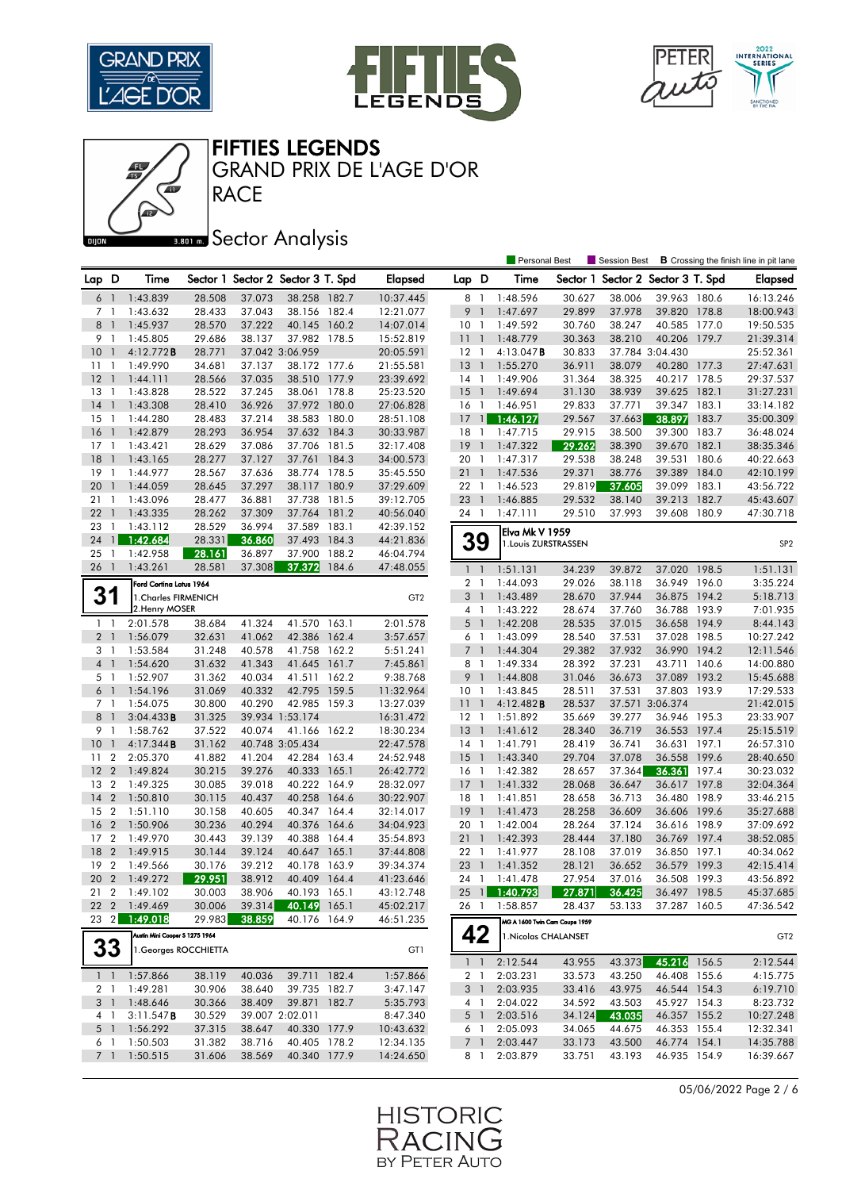

Œ





FIFTIES LEGENDS

GRAND PRIX DE L'AGE D'OR

# **Bana** Sector Analysis

**RACE** 

|                |                          |                                |        |        |                                   |       |                 |                 |                          | <b>Personal Best</b>          |        | Session Best<br><b>B</b> Crossing the finish line in pit lane |                 |       |                 |
|----------------|--------------------------|--------------------------------|--------|--------|-----------------------------------|-------|-----------------|-----------------|--------------------------|-------------------------------|--------|---------------------------------------------------------------|-----------------|-------|-----------------|
| Lap D          |                          | Time                           |        |        | Sector 1 Sector 2 Sector 3 T. Spd |       | <b>Elapsed</b>  | Lap D           |                          | Time                          |        | Sector 1 Sector 2 Sector 3 T. Spd                             |                 |       | <b>Elapsed</b>  |
| 6              | $\overline{1}$           | 1:43.839                       | 28.508 | 37.073 | 38.258 182.7                      |       | 10:37.445       | 8 1             |                          | 1:48.596                      | 30.627 | 38.006                                                        | 39.963 180.6    |       | 16:13.246       |
| 7 <sub>1</sub> |                          | 1:43.632                       | 28.433 | 37.043 | 38.156 182.4                      |       | 12:21.077       | 9               | $\mathbf{1}$             | 1:47.697                      | 29.899 | 37.978                                                        | 39.820 178.8    |       | 18:00.943       |
| 8              | $\overline{1}$           | 1:45.937                       | 28.570 | 37.222 | 40.145                            | 160.2 | 14:07.014       | 10 <sub>1</sub> |                          | 1:49.592                      | 30.760 | 38.247                                                        | 40.585 177.0    |       | 19:50.535       |
| 9              | - 1                      | 1:45.805                       | 29.686 | 38.137 | 37.982                            | 178.5 | 15:52.819       | 11              | $\overline{\phantom{a}}$ | 1:48.779                      | 30.363 | 38.210                                                        | 40.206 179.7    |       | 21:39.314       |
| 10             | $\overline{1}$           | 4:12.772B                      | 28.771 |        | 37.042 3:06.959                   |       | 20:05.591       | $12-1$          |                          | $4:13.047$ <b>B</b>           | 30.833 |                                                               | 37.784 3:04.430 |       | 25:52.361       |
| 11             | $\overline{1}$           | 1:49.990                       | 34.681 | 37.137 | 38.172 177.6                      |       | 21:55.581       | $13-1$          |                          | 1:55.270                      | 36.911 | 38.079                                                        | 40.280 177.3    |       | 27:47.631       |
| 12             | $\overline{1}$           | 1:44.111                       | 28.566 | 37.035 | 38.510 177.9                      |       | 23:39.692       | $14-1$          |                          | 1:49.906                      | 31.364 | 38.325                                                        | 40.217 178.5    |       | 29:37.537       |
| 13             | $\overline{1}$           | 1:43.828                       | 28.522 | 37.245 | 38.061 178.8                      |       | 25:23.520       | 15              | $\overline{1}$           | 1:49.694                      | 31.130 | 38.939                                                        | 39.625 182.1    |       | 31:27.231       |
| 14             | $\overline{1}$           | 1:43.308                       | 28.410 | 36.926 | 37.972 180.0                      |       | 27:06.828       | 16              | $\overline{1}$           | 1:46.951                      | 29.833 | 37.771                                                        | 39.347 183.1    |       | 33:14.182       |
| 15             | - 1                      | 1:44.280                       | 28.483 | 37.214 | 38.583 180.0                      |       | 28:51.108       | 17 <sup>1</sup> |                          | 1:46.127                      | 29.567 | 37.663                                                        | 38.897          | 183.7 | 35:00.309       |
| 16             | $\mathbf{1}$             | 1:42.879                       | 28.293 | 36.954 | 37.632                            | 184.3 | 30:33.987       | 18              | $\overline{1}$           | 1:47.715                      | 29.915 | 38.500                                                        | 39.300          | 183.7 | 36:48.024       |
| $17-1$         |                          | 1:43.421                       | 28.629 | 37.086 | 37.706 181.5                      |       | 32:17.408       | 19              | $\overline{1}$           | 1:47.322                      | 29.262 | 38.390                                                        | 39.670 182.1    |       | 38:35.346       |
| 18             | $\overline{1}$           | 1:43.165                       | 28.277 | 37.127 | 37.761                            | 184.3 | 34:00.573       | 20              | $\mathbf{1}$             | 1:47.317                      | 29.538 | 38.248                                                        | 39.531          | 180.6 | 40:22.663       |
| 19             | $\overline{1}$           | 1:44.977                       | 28.567 | 37.636 | 38.774 178.5                      |       | 35:45.550       | 21              | $\overline{1}$           | 1:47.536                      | 29.371 | 38.776                                                        | 39.389 184.0    |       | 42:10.199       |
| 20             | $\overline{1}$           | 1:44.059                       | 28.645 | 37.297 | 38.117                            | 180.9 | 37:29.609       | 22 1            |                          | 1:46.523                      | 29.819 | 37.605                                                        | 39.099 183.1    |       | 43:56.722       |
| 21             | -1                       | 1:43.096                       | 28.477 | 36.881 | 37.738                            | 181.5 | 39:12.705       | 23              | $\overline{1}$           | 1:46.885                      | 29.532 | 38.140                                                        | 39.213 182.7    |       | 45:43.607       |
| 22             | $\overline{1}$           | 1:43.335                       | 28.262 | 37.309 | 37.764 181.2                      |       | 40:56.040       | 24 1            |                          | 1:47.111                      | 29.510 | 37.993                                                        | 39.608 180.9    |       | 47:30.718       |
| 23             | $\overline{1}$           | 1:43.112                       | 28.529 | 36.994 | 37.589                            | 183.1 | 42:39.152       |                 |                          | Elva Mk V 1959                |        |                                                               |                 |       |                 |
| 24             |                          | $\blacksquare$ 1:42.684        | 28.331 | 36.860 | 37.493                            | 184.3 | 44:21.836       | 39              |                          | 1. Louis ZURSTRASSEN          |        |                                                               |                 |       | SP <sub>2</sub> |
| 25             | -1                       | 1:42.958                       | 28.161 | 36.897 | 37.900                            | 188.2 | 46:04.794       |                 |                          |                               |        |                                                               |                 |       |                 |
| 26             | $\overline{1}$           | 1:43.261                       | 28.581 | 37.308 | 37.372                            | 184.6 | 47:48.055       | $1\quad$        |                          | 1:51.131                      | 34.239 | 39.872                                                        | 37.020          | 198.5 | 1:51.131        |
|                |                          | Ford Cortina Lotus 1964        |        |        |                                   |       |                 | 2 <sub>1</sub>  |                          | 1:44.093                      | 29.026 | 38.118                                                        | 36.949 196.0    |       | 3:35.224        |
| 31             |                          | 1. Charles FIRMENICH           |        |        |                                   |       | GT <sub>2</sub> | 3               | $\overline{1}$           | 1:43.489                      | 28.670 | 37.944                                                        | 36.875 194.2    |       | 5:18.713        |
|                |                          | 2. Henry MOSER                 |        |        |                                   |       |                 | $4-1$           |                          | 1:43.222                      | 28.674 | 37.760                                                        | 36.788 193.9    |       | 7:01.935        |
| $1\quad$       |                          | 2:01.578                       | 38.684 | 41.324 | 41.570 163.1                      |       | 2:01.578        | $5-1$           |                          | 1:42.208                      | 28.535 | 37.015                                                        | 36.658 194.9    |       | 8:44.143        |
| 2 <sub>1</sub> |                          | 1:56.079                       | 32.631 | 41.062 | 42.386                            | 162.4 | 3:57.657        | 6 1             |                          | 1:43.099                      | 28.540 | 37.531                                                        | 37.028 198.5    |       | 10:27.242       |
| 3 1            |                          | 1:53.584                       | 31.248 | 40.578 | 41.758                            | 162.2 | 5:51.241        | 7 <sup>1</sup>  |                          | 1:44.304                      | 29.382 | 37.932                                                        | 36.990 194.2    |       | 12:11.546       |
| 4 <sup>1</sup> |                          | 1:54.620                       | 31.632 | 41.343 | 41.645                            | 161.7 | 7:45.861        | 8               | - 1                      | 1:49.334                      | 28.392 | 37.231                                                        | 43.711          | 140.6 | 14:00.880       |
| 5 <sub>1</sub> |                          | 1:52.907                       | 31.362 | 40.034 | 41.511                            | 162.2 | 9:38.768        | 9               | $\overline{\phantom{a}}$ | 1:44.808                      | 31.046 | 36.673                                                        | 37.089 193.2    |       | 15:45.688       |
| $6-1$          |                          | 1:54.196                       | 31.069 | 40.332 | 42.795                            | 159.5 | 11:32.964       | 10 <sub>1</sub> |                          | 1:43.845                      | 28.511 | 37.531                                                        | 37.803 193.9    |       | 17:29.533       |
| 7 <sub>1</sub> |                          | 1:54.075                       | 30.800 | 40.290 | 42.985                            | 159.3 | 13:27.039       | 11 <sub>1</sub> |                          | 4:12.482B                     | 28.537 |                                                               | 37.571 3:06.374 |       | 21:42.015       |
| 8              | $\overline{\phantom{a}}$ | 3:04.433B                      | 31.325 |        | 39.934 1:53.174                   |       | 16:31.472       | $12-1$          |                          | 1:51.892                      | 35.669 | 39.277                                                        | 36.946 195.3    |       | 23:33.907       |
| 9              | $\overline{1}$           | 1:58.762                       | 37.522 | 40.074 | 41.166 162.2                      |       | 18:30.234       | 13              | $\overline{1}$           | 1:41.612                      | 28.340 | 36.719                                                        | 36.553 197.4    |       | 25:15.519       |
| 10             | $\overline{1}$           | 4:17.344B                      | 31.162 |        | 40.748 3:05.434                   |       | 22:47.578       | $14-1$          |                          | 1:41.791                      | 28.419 | 36.741                                                        | 36.631 197.1    |       | 26:57.310       |
| 11             | $\overline{2}$           | 2:05.370                       | 41.882 | 41.204 | 42.284 163.4                      |       | 24:52.948       | 15              | $\overline{1}$           | 1:43.340                      | 29.704 | 37.078                                                        | 36.558 199.6    |       | 28:40.650       |
| 12             | $\overline{2}$           | 1:49.824                       | 30.215 | 39.276 | 40.333                            | 165.1 | 26:42.772       | 16 1            |                          | 1:42.382                      | 28.657 | 37.364                                                        | 36.361          | 197.4 | 30:23.032       |
| 13             | $\overline{2}$           | 1:49.325                       | 30.085 | 39.018 | 40.222 164.9                      |       | 28:32.097       | $17-1$          |                          | 1:41.332                      | 28.068 | 36.647                                                        | 36.617 197.8    |       | 32:04.364       |
| 14             | $\overline{2}$           | 1:50.810                       | 30.115 | 40.437 | 40.258                            | 164.6 | 30:22.907       | 18              | $\overline{1}$           | 1:41.851                      | 28.658 | 36.713                                                        | 36.480 198.9    |       | 33:46.215       |
| 15             | $\overline{2}$           | 1:51.110                       | 30.158 | 40.605 | 40.347 164.4                      |       | 32:14.017       | 19              | $\overline{1}$           | 1:41.473                      | 28.258 | 36.609                                                        | 36.606 199.6    |       | 35:27.688       |
| 16             | $\overline{2}$           | 1:50.906                       | 30.236 | 40.294 | 40.376                            | 164.6 | 34:04.923       | 20 1            |                          | 1:42.004                      | 28.264 | 37.124                                                        | 36.616 198.9    |       | 37:09.692       |
| 17             | $\overline{2}$           | 1:49.970                       | 30.443 | 39.139 | 40.388                            | 164.4 | 35:54.893       | 21              | $\overline{1}$           | 1:42.393                      | 28.444 | 37.180                                                        | 36.769 197.4    |       | 38:52.085       |
| 18             | $\overline{2}$           | 1:49.915                       | 30.144 | 39.124 | 40.647                            | 165.1 | 37:44.808       | 22 1            |                          | 1:41.977                      | 28.108 | 37.019                                                        | 36.850 197.1    |       | 40:34.062       |
| 19             | $\overline{2}$           | 1:49.566                       | 30.176 | 39.212 | 40.178                            | 163.9 | 39:34.374       | 23              | $\overline{1}$           | 1:41.352                      | 28.121 | 36.652                                                        | 36.579 199.3    |       | 42:15.414       |
| 20             |                          | 2 1:49.272                     | 29.951 | 38.912 | 40.409 164.4                      |       | 41:23.646       |                 |                          | 24 1 1:41.478                 | 27.954 | 37.016                                                        | 36.508 199.3    |       | 43:56.892       |
|                |                          | 21 2 1:49.102                  | 30.003 |        | 38.906 40.193 165.1               |       | 43:12.748       |                 |                          | 25 1 1:40.793                 | 27.871 | 36.425                                                        | 36.497 198.5    |       | 45:37.685       |
|                |                          | 22 2 1:49.469                  | 30.006 |        | 39.314 40.149 165.1               |       | 45:02.217       |                 |                          | 26 1 1:58.857                 | 28.437 | 53.133                                                        | 37.287 160.5    |       | 47:36.542       |
|                |                          | 23 2 1:49.018                  | 29.983 | 38.859 | 40.176 164.9                      |       | 46:51.235       |                 |                          | MG A 1600 Twin Cam Coupe 1959 |        |                                                               |                 |       |                 |
|                |                          | Austin Mini Cooper S 1275 1964 |        |        |                                   |       |                 | 42              |                          | 1. Nicolas CHALANSET          |        |                                                               |                 |       | GT <sub>2</sub> |
| 33             |                          | 1. Georges ROCCHIETTA          |        |        |                                   |       | GT1             |                 |                          |                               |        |                                                               |                 |       |                 |
|                |                          |                                |        |        |                                   |       |                 |                 |                          | $1 \quad 1 \quad 2:12.544$    | 43.955 | 43.373                                                        | 45.216 156.5    |       | 2:12.544        |
|                |                          | $1 \quad 1 \quad 1:57.866$     | 38.119 | 40.036 | 39.711 182.4                      |       | 1:57.866        | 2 1             |                          | 2:03.231                      | 33.573 | 43.250                                                        | 46.408 155.6    |       | 4:15.775        |
|                |                          | 2 1 1:49.281                   | 30.906 | 38.640 | 39.735 182.7                      |       | 3:47.147        |                 | 3 1                      | 2:03.935                      | 33.416 | 43.975                                                        | 46.544 154.3    |       | 6:19.710        |
|                |                          | 3 1 1:48.646                   | 30.366 | 38.409 | 39.871 182.7                      |       | 5:35.793        |                 | 4 1                      | 2:04.022                      | 34.592 | 43.503                                                        | 45.927 154.3    |       | 8:23.732        |
|                | 4 1                      | 3:11.547B                      | 30.529 |        | 39.007 2:02.011                   |       | 8:47.340        | 5 1             |                          | 2:03.516                      | 34.124 | 43.035                                                        | 46.357 155.2    |       | 10:27.248       |
| 5 <sub>1</sub> |                          | 1:56.292                       | 37.315 | 38.647 | 40.330 177.9                      |       | 10:43.632       | 61              |                          | 2:05.093                      | 34.065 | 44.675                                                        | 46.353 155.4    |       | 12:32.341       |
| 6 1            |                          | 1:50.503                       | 31.382 | 38.716 | 40.405 178.2                      |       | 12:34.135       | 7 1             |                          | 2:03.447                      | 33.173 | 43.500                                                        | 46.774 154.1    |       | 14:35.788       |
|                |                          | 7 1 1:50.515                   | 31.606 | 38.569 | 40.340 177.9                      |       | 14:24.650       | 8 1             |                          | 2:03.879                      | 33.751 | 43.193                                                        | 46.935 154.9    |       | 16:39.667       |

05/06/2022 Page 2 / 6

![](_page_1_Picture_8.jpeg)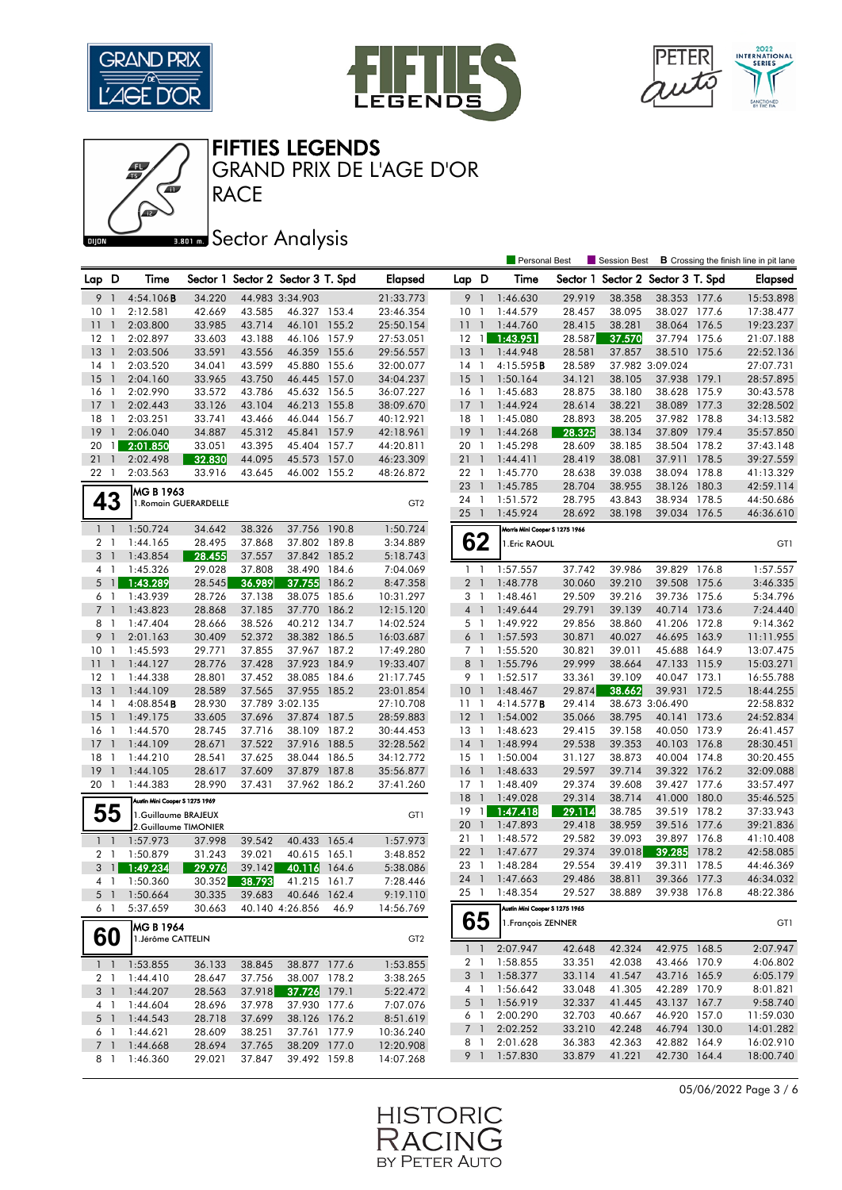![](_page_2_Picture_0.jpeg)

Œ

![](_page_2_Picture_1.jpeg)

![](_page_2_Picture_2.jpeg)

Personal Best **S** Session Best **B** Crossing the finish line in pit lane

FIFTIES LEGENDS

GRAND PRIX DE L'AGE D'OR

## **Bana** Sector Analysis

**RACE** 

| Lap D          |                | Time                           |        |        | Sector 1 Sector 2 Sector 3 T. Spd |       | Elapsed         | Lap D           |                          | Time                           |        | Sector 1 Sector 2 Sector 3 T. Spd |                 |       | <b>Elapsed</b> |
|----------------|----------------|--------------------------------|--------|--------|-----------------------------------|-------|-----------------|-----------------|--------------------------|--------------------------------|--------|-----------------------------------|-----------------|-------|----------------|
| 9              | $\overline{1}$ | 4:54.106B                      | 34.220 |        | 44.983 3:34.903                   |       | 21:33.773       | 9               | $\overline{1}$           | 1:46.630                       | 29.919 | 38.358                            | 38.353 177.6    |       | 15:53.898      |
| 10             | - 1            | 2:12.581                       | 42.669 | 43.585 | 46.327 153.4                      |       | 23:46.354       | 10 <sub>1</sub> |                          | 1:44.579                       | 28.457 | 38.095                            | 38.027 177.6    |       | 17:38.477      |
| 11             | $\overline{1}$ | 2:03.800                       | 33.985 | 43.714 | 46.101                            | 155.2 | 25:50.154       | $11-1$          |                          | 1:44.760                       | 28.415 | 38.281                            | 38.064 176.5    |       | 19:23.237      |
| $12 \,$        | - 1            | 2:02.897                       | 33.603 | 43.188 | 46.106 157.9                      |       | 27:53.051       | $12 \quad 1$    |                          | 1:43.951                       | 28.587 | 37.570                            | 37.794 175.6    |       | 21:07.188      |
| 13             | $\mathbf{1}$   | 2:03.506                       | 33.591 | 43.556 | 46.359                            | 155.6 | 29:56.557       | 13              | $\overline{1}$           | 1:44.948                       | 28.581 | 37.857                            | 38.510          | 175.6 | 22:52.136      |
| 14             | $\mathbf{1}$   | 2:03.520                       | 34.041 | 43.599 | 45.880                            | 155.6 | 32:00.077       | 14              | $\overline{1}$           | 4:15.595 <b>B</b>              | 28.589 |                                   | 37.982 3:09.024 |       | 27:07.731      |
| 15             | $\mathbf{1}$   | 2:04.160                       | 33.965 | 43.750 | 46.445                            | 157.0 | 34:04.237       | $15-1$          |                          | 1:50.164                       | 34.121 | 38.105                            | 37.938 179.1    |       | 28:57.895      |
| 16             | -1             | 2:02.990                       | 33.572 | 43.786 | 45.632                            | 156.5 | 36:07.227       | 16 <sub>1</sub> |                          | 1:45.683                       | 28.875 | 38.180                            | 38.628 175.9    |       | 30:43.578      |
| 17             | $\overline{1}$ | 2:02.443                       | 33.126 | 43.104 | 46.213                            | 155.8 | 38:09.670       | $17-1$          |                          | 1:44.924                       | 28.614 | 38.221                            | 38.089 177.3    |       | 32:28.502      |
| 18             | -1             | 2:03.251                       | 33.741 | 43.466 | 46.044 156.7                      |       | 40:12.921       | 18              | $\mathbf{1}$             | 1:45.080                       | 28.893 | 38.205                            | 37.982 178.8    |       | 34:13.582      |
| 19             | $\mathbf{1}$   | 2:06.040                       | 34.887 | 45.312 | 45.841                            | 157.9 | 42:18.961       | 19              | $\overline{1}$           | 1:44.268                       | 28.325 | 38.134                            | 37.809 179.4    |       | 35:57.850      |
| 20             | $\mathbf{1}$   | 2:01.850                       | 33.051 | 43.395 | 45.404 157.7                      |       | 44:20.811       | 20 <sub>1</sub> |                          | 1:45.298                       | 28.609 | 38.185                            | 38.504 178.2    |       | 37:43.148      |
| 21             | $\mathbf{1}$   | 2:02.498                       | 32.830 | 44.095 | 45.573                            | 157.0 | 46:23.309       | 21              | $\overline{1}$           | 1:44.411                       | 28.419 | 38.081                            | 37.911          | 178.5 | 39:27.559      |
| 22 1           |                | 2:03.563                       | 33.916 | 43.645 | 46.002 155.2                      |       | 48:26.872       | 22 1            |                          | 1:45.770                       | 28.638 | 39.038                            | 38.094 178.8    |       | 41:13.329      |
|                |                | MG B 1963                      |        |        |                                   |       |                 | 23              | $\overline{1}$           | 1:45.785                       | 28.704 | 38.955                            | 38.126 180.3    |       | 42:59.114      |
| 43             |                | 1. Romain GUERARDELLE          |        |        |                                   |       | GT <sub>2</sub> | 24 1            |                          | 1:51.572                       | 28.795 | 43.843                            | 38.934 178.5    |       | 44:50.686      |
|                |                |                                |        |        |                                   |       |                 | $25-1$          |                          | 1:45.924                       | 28.692 | 38.198                            | 39.034 176.5    |       | 46:36.610      |
| $1\quad$       |                | 1:50.724                       | 34.642 | 38.326 | 37.756                            | 190.8 | 1:50.724        |                 |                          | Morris Mini Cooper S 1275 1966 |        |                                   |                 |       |                |
| 2 <sub>1</sub> |                | 1:44.165                       | 28.495 | 37.868 | 37.802 189.8                      |       | 3:34.889        | 62              |                          | 1. Eric RAOUL                  |        |                                   |                 |       | GT1            |
| 3              | $\mathbf{1}$   | 1:43.854                       | 28.455 | 37.557 | 37.842                            | 185.2 | 5:18.743        |                 |                          |                                |        |                                   |                 |       |                |
| 4 1            |                | 1:45.326                       | 29.028 | 37.808 | 38.490                            | 184.6 | 7:04.069        | $1\quad$        |                          | 1:57.557                       | 37.742 | 39.986                            | 39.829 176.8    |       | 1:57.557       |
| 5              | $\frac{1}{2}$  | 1:43.289                       | 28.545 | 36.989 | 37.755                            | 186.2 | 8:47.358        | 2 <sub>1</sub>  |                          | 1:48.778                       | 30.060 | 39.210                            | 39.508 175.6    |       | 3:46.335       |
| 6              | $\overline{1}$ | 1:43.939                       | 28.726 | 37.138 | 38.075                            | 185.6 | 10:31.297       | 3               | $\overline{1}$           | 1:48.461                       | 29.509 | 39.216                            | 39.736 175.6    |       | 5:34.796       |
| 7 <sup>1</sup> |                | 1:43.823                       | 28.868 | 37.185 | 37.770                            | 186.2 | 12:15.120       | 4 <sup>1</sup>  |                          | 1:49.644                       | 29.791 | 39.139                            | 40.714 173.6    |       | 7:24.440       |
| 8              | $\overline{1}$ | 1:47.404                       | 28.666 | 38.526 | 40.212 134.7                      |       | 14:02.524       | 5 <sub>1</sub>  |                          | 1:49.922                       | 29.856 | 38.860                            | 41.206 172.8    |       | 9:14.362       |
| 9              | $\mathbf{1}$   | 2:01.163                       | 30.409 | 52.372 | 38.382 186.5                      |       | 16:03.687       | 6 <sup>1</sup>  |                          | 1:57.593                       | 30.871 | 40.027                            | 46.695 163.9    |       | 11:11.955      |
| 10             | $\overline{1}$ | 1:45.593                       | 29.771 | 37.855 | 37.967 187.2                      |       | 17:49.280       | 7 <sub>1</sub>  |                          | 1:55.520                       | 30.821 | 39.011                            | 45.688 164.9    |       | 13:07.475      |
| 11             | $\overline{1}$ | 1:44.127                       | 28.776 | 37.428 | 37.923                            | 184.9 | 19:33.407       | 8 <sup>1</sup>  |                          | 1:55.796                       | 29.999 | 38.664                            | 47.133 115.9    |       | 15:03.271      |
| $12-1$         |                | 1:44.338                       | 28.801 | 37.452 | 38.085 184.6                      |       | 21:17.745       | 9 1             |                          | 1:52.517                       | 33.361 | 39.109                            | 40.047 173.1    |       | 16:55.788      |
| 13             | $\overline{1}$ | 1:44.109                       | 28.589 | 37.565 | 37.955                            | 185.2 | 23:01.854       | $10-1$          |                          | 1:48.467                       | 29.874 | 38.662                            | 39.931          | 172.5 | 18:44.255      |
| 14             | -1             | $4:08.854$ <b>B</b>            | 28.930 |        | 37.789 3:02.135                   |       | 27:10.708       | $11-1$          |                          | 4:14.577B                      | 29.414 |                                   | 38.673 3:06.490 |       | 22:58.832      |
| 15             | $\mathbf{1}$   | 1:49.175                       | 33.605 | 37.696 | 37.874 187.5                      |       | 28:59.883       | $12-1$          |                          | 1:54.002                       | 35.066 | 38.795                            | 40.141          | 173.6 | 24:52.834      |
| 16             | -1             | 1:44.570                       | 28.745 | 37.716 | 38.109                            | 187.2 | 30:44.453       | 13              | $\overline{1}$           | 1:48.623                       | 29.415 | 39.158                            | 40.050          | 173.9 | 26:41.457      |
| 17             | $\overline{1}$ | 1:44.109                       | 28.671 | 37.522 | 37.916                            | 188.5 | 32:28.562       | $14-1$          |                          | 1:48.994                       | 29.538 | 39.353                            | 40.103 176.8    |       | 28:30.451      |
| 18             | -1             | 1:44.210                       | 28.541 | 37.625 | 38.044                            | 186.5 | 34:12.772       | $15-1$          |                          | 1:50.004                       | 31.127 | 38.873                            | 40.004 174.8    |       | 30:20.455      |
| 19             | $\overline{1}$ | 1:44.105                       | 28.617 | 37.609 | 37.879                            | 187.8 | 35:56.877       | 16              | $\overline{1}$           | 1:48.633                       | 29.597 | 39.714                            | 39.322 176.2    |       | 32:09.088      |
| 20             | $\overline{1}$ | 1:44.383                       | 28.990 | 37.431 | 37.962 186.2                      |       | 37:41.260       | $17-1$          |                          | 1:48.409                       | 29.374 | 39.608                            | 39.427 177.6    |       | 33:57.497      |
|                |                | Austin Mini Cooper S 1275 1969 |        |        |                                   |       |                 | 18              | $\overline{1}$           | 1:49.028                       | 29.314 | 38.714                            | 41.000 180.0    |       | 35:46.525      |
| 55             |                | 1.Guillaume BRAJEUX            |        |        |                                   |       | GT1             | 19              | $\lceil$                 | 1:47.418                       | 29.114 | 38.785                            | 39.519 178.2    |       | 37:33.943      |
|                |                | 2.Guillaume TIMONIER           |        |        |                                   |       |                 | 20              | $\overline{1}$           | 1:47.893                       | 29.418 | 38.959                            | 39.516 177.6    |       | 39:21.836      |
| $1 \quad 1$    |                | 1:57.973                       | 37.998 | 39.542 | 40.433                            | 165.4 | 1:57.973        | 21 1            |                          | 1:48.572                       | 29.582 | 39.093                            | 39.897 176.8    |       | 41:10.408      |
| 2 <sub>1</sub> |                | 1:50.879                       | 31.243 | 39.021 | 40.615                            | 165.1 | 3:48.852        | 221             |                          | 1:47.677                       | 29.374 | 39.018                            | 39.285          | 178.2 | 42:58.085      |
|                | $3 \quad 1$    | 1:49.234                       | 29.976 | 39.142 | 40.116                            | 164.6 | 5:38.086        | 23              | $\overline{\phantom{a}}$ | 1:48.284                       | 29.554 | 39.419                            | 39.311          | 178.5 | 44:46.369      |
| 4 1            |                | 1:50.360                       | 30.352 | 38.793 | 41.215                            | 161.7 | 7:28.446        | 24 1            |                          | 1:47.663                       | 29.486 | 38.811                            | 39.366          | 177.3 | 46:34.032      |
| 5 <sub>1</sub> |                | 1:50.664                       | 30.335 | 39.683 | 40.646 162.4                      |       | 9:19.110        | 25 1            |                          | 1:48.354                       | 29.527 | 38.889                            | 39.938 176.8    |       | 48:22.386      |
| 6 1            |                | 5:37.659                       | 30.663 |        | 40.140 4:26.856                   | 46.9  | 14:56.769       |                 |                          | Austin Mini Cooper S 1275 1965 |        |                                   |                 |       |                |
|                |                | MG B 1964                      |        |        |                                   |       |                 | 65              |                          | 1. François ZENNER             |        |                                   |                 |       | GT1            |
| 60             |                | 1.Jérôme CATTELIN              |        |        |                                   |       | GT <sub>2</sub> |                 |                          |                                |        |                                   |                 |       |                |
|                |                |                                |        |        |                                   |       |                 | 1 <sup>1</sup>  |                          | 2:07.947                       | 42.648 | 42.324                            | 42.975 168.5    |       | 2:07.947       |
| $1\quad$       |                | 1:53.855                       | 36.133 | 38.845 | 38.877 177.6                      |       | 1:53.855        | 2 1             |                          | 1:58.855                       | 33.351 | 42.038                            | 43.466 170.9    |       | 4:06.802       |
| 2 1            |                | 1:44.410                       | 28.647 | 37.756 | 38.007 178.2                      |       | 3:38.265        | 3 <sup>1</sup>  |                          | 1:58.377                       | 33.114 | 41.547                            | 43.716 165.9    |       | 6:05.179       |
| 3 1            |                | 1:44.207                       | 28.563 | 37.918 | 37.726 179.1                      |       | 5:22.472        | 4 1             |                          | 1:56.642                       | 33.048 | 41.305                            | 42.289 170.9    |       | 8:01.821       |
| 4 1            |                | 1:44.604                       | 28.696 | 37.978 | 37.930 177.6                      |       | 7:07.076        | $5-1$           |                          | 1:56.919                       | 32.337 | 41.445                            | 43.137 167.7    |       | 9:58.740       |
| 5 1            |                | 1:44.543                       | 28.718 | 37.699 | 38.126 176.2                      |       | 8:51.619        | 6 1             |                          | 2:00.290                       | 32.703 | 40.667                            | 46.920 157.0    |       | 11:59.030      |
| 6 1            |                | 1:44.621                       | 28.609 | 38.251 | 37.761 177.9                      |       | 10:36.240       | 7 <sup>1</sup>  |                          | 2:02.252                       | 33.210 | 42.248                            | 46.794 130.0    |       | 14:01.282      |
| 7 <sup>1</sup> |                | 1:44.668                       | 28.694 | 37.765 | 38.209 177.0                      |       | 12:20.908       | 8 1             |                          | 2:01.628                       | 36.383 | 42.363                            | 42.882 164.9    |       | 16:02.910      |
| 81             |                | 1:46.360                       | 29.021 | 37.847 | 39.492 159.8                      |       | 14:07.268       | 9 1             |                          | 1:57.830                       | 33.879 | 41.221                            | 42.730 164.4    |       | 18:00.740      |

05/06/2022 Page 3 / 6

![](_page_2_Picture_8.jpeg)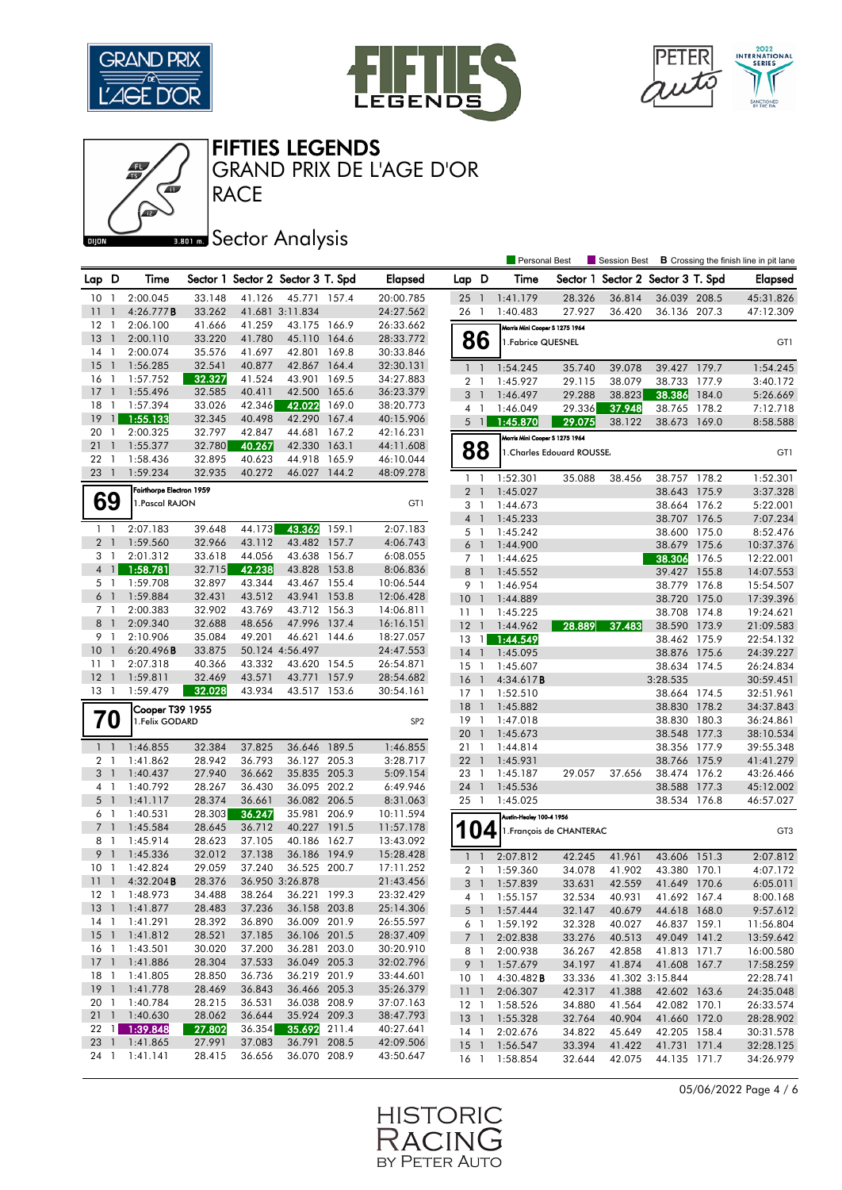![](_page_3_Picture_0.jpeg)

Œ

![](_page_3_Picture_1.jpeg)

![](_page_3_Picture_2.jpeg)

![](_page_3_Figure_3.jpeg)

GRAND PRIX DE L'AGE D'OR

## **Bana** Sector Analysis

**RACE** 

|                 |                          |                                    |        |        |                                   |       |                 |                                  |                | <b>Personal Best</b>           |                            | <b>Session Best</b>               |                              |       | <b>B</b> Crossing the finish line in pit lane |
|-----------------|--------------------------|------------------------------------|--------|--------|-----------------------------------|-------|-----------------|----------------------------------|----------------|--------------------------------|----------------------------|-----------------------------------|------------------------------|-------|-----------------------------------------------|
| Lap D           |                          | Time                               |        |        | Sector 1 Sector 2 Sector 3 T. Spd |       | <b>Elapsed</b>  | Lap D                            |                | Time                           |                            | Sector 1 Sector 2 Sector 3 T. Spd |                              |       | <b>Elapsed</b>                                |
| 10              | -1                       | 2:00.045                           | 33.148 | 41.126 | 45.771 157.4                      |       | 20:00.785       | 25                               | $\overline{1}$ | 1:41.179                       | 28.326                     | 36.814                            | 36.039 208.5                 |       | 45:31.826                                     |
| 11              |                          | 4:26.777B                          | 33.262 |        | 41.681 3:11.834                   |       | 24:27.562       | 26                               | $\overline{1}$ | 1:40.483                       | 27.927                     | 36.420                            | 36.136 207.3                 |       | 47:12.309                                     |
| 12              | $\mathbf{1}$             | 2:06.100                           | 41.666 | 41.259 | 43.175                            | 166.9 | 26:33.662       |                                  |                |                                |                            |                                   |                              |       |                                               |
| 13              | $\overline{1}$           | 2:00.110                           | 33.220 | 41.780 | 45.110                            | 164.6 | 28:33.772       |                                  |                | Morris Mini Cooper S 1275 1964 |                            |                                   |                              |       |                                               |
| 14              | $\overline{1}$           | 2:00.074                           | 35.576 | 41.697 | 42.801                            | 169.8 | 30:33.846       |                                  | 86             | 1. Fabrice QUESNEL             |                            |                                   |                              |       | GT1                                           |
| 15              | $\overline{1}$           | 1:56.285                           | 32.541 | 40.877 | 42.867                            | 164.4 | 32:30.131       | $\mathbf{1}$                     | $\overline{1}$ | 1:54.245                       | 35.740                     | 39.078                            | 39.427                       | 179.7 | 1:54.245                                      |
| 16              | $\mathbf{1}$             | 1:57.752                           | 32.327 | 41.524 | 43.901                            | 169.5 | 34:27.883       | 2 <sub>1</sub>                   |                | 1:45.927                       | 29.115                     | 38.079                            | 38.733                       | 177.9 | 3:40.172                                      |
| 17              | $\overline{1}$           | 1:55.496                           | 32.585 | 40.411 | 42.500                            | 165.6 | 36:23.379       | 3                                | $\overline{1}$ | 1:46.497                       | 29.288                     | 38.823                            | 38.386                       | 184.0 | 5:26.669                                      |
| 18              | 1                        | 1:57.394                           | 33.026 | 42.346 | 42.022                            | 169.0 | 38:20.773       | 4                                | $\overline{1}$ | 1:46.049                       | 29.336                     | 37.948                            | 38.765                       | 178.2 | 7:12.718                                      |
| 19              | $\mathbf{1}$             | 1:55.133                           | 32.345 | 40.498 | 42.290                            | 167.4 | 40:15.906       | 5                                | $\overline{1}$ | 1:45.870                       | 29.075                     | 38.122                            | 38.673 169.0                 |       | 8:58.588                                      |
| 20              | $\mathbf{1}$             | 2:00.325                           | 32.797 | 42.847 | 44.681                            | 167.2 | 42:16.231       |                                  |                |                                |                            |                                   |                              |       |                                               |
| 21              | $\mathbf{1}$             | 1:55.377                           | 32.780 | 40.267 | 42.330                            | 163.1 | 44:11.608       |                                  |                | Morris Mini Cooper S 1275 1964 |                            |                                   |                              |       |                                               |
| 22              | -1                       | 1:58.436                           | 32.895 | 40.623 | 44.918                            | 165.9 | 46:10.044       |                                  | 88             |                                | 1. Charles Edouard ROUSSE. |                                   |                              |       | GT1                                           |
| 23 1            |                          | 1:59.234                           | 32.935 | 40.272 | 46.027 144.2                      |       | 48:09.278       |                                  |                |                                |                            |                                   |                              |       |                                               |
|                 |                          | Fairthorpe Electron 1959           |        |        |                                   |       |                 | $\mathbf{1}$<br>2 <sub>1</sub>   | -1             | 1:52.301<br>1:45.027           | 35.088                     | 38.456                            | 38.757 178.2<br>38.643 175.9 |       | 1:52.301<br>3:37.328                          |
|                 | 69                       | 1. Pascal RAJON                    |        |        |                                   |       | GT1             |                                  |                |                                |                            |                                   |                              |       |                                               |
|                 |                          |                                    |        |        |                                   |       |                 | 3 <sub>1</sub><br>4 <sub>1</sub> |                | 1:44.673<br>1:45.233           |                            |                                   | 38.664 176.2<br>38.707       | 176.5 | 5:22.001<br>7:07.234                          |
| $\mathbf{1}$    | $\mathbf{1}$             | 2:07.183                           | 39.648 | 44.173 | 43.362                            | 159.1 | 2:07.183        | 5                                | - 1            | 1:45.242                       |                            |                                   | 38.600 175.0                 |       | 8:52.476                                      |
| 2 <sub>1</sub>  |                          | 1:59.560                           | 32.966 | 43.112 | 43.482                            | 157.7 | 4:06.743        | 6                                | - 1            | 1:44.900                       |                            |                                   | 38.679                       | 175.6 | 10:37.376                                     |
| 3 <sub>1</sub>  |                          | 2:01.312                           | 33.618 | 44.056 | 43.638                            | 156.7 | 6:08.055        | 7 <sub>1</sub>                   |                | 1:44.625                       |                            |                                   | 38.306                       | 176.5 | 12:22.001                                     |
| $\overline{4}$  | $\mathbf{1}$             | 1:58.781                           | 32.715 | 42.238 | 43.828                            | 153.8 | 8:06.836        | 8                                | $\overline{1}$ | 1:45.552                       |                            |                                   | 39.427                       | 155.8 | 14:07.553                                     |
| 5 <sub>1</sub>  |                          | 1:59.708                           | 32.897 | 43.344 | 43.467 155.4                      |       | 10:06.544       | 9                                | $\overline{1}$ | 1:46.954                       |                            |                                   | 38.779                       | 176.8 | 15:54.507                                     |
| 6               | $\overline{1}$           | 1:59.884                           | 32.431 | 43.512 | 43.941                            | 153.8 | 12:06.428       | 10                               | $\overline{1}$ |                                |                            |                                   | 38.720                       | 175.0 | 17:39.396                                     |
| 7 1             |                          | 2:00.383                           | 32.902 | 43.769 | 43.712                            | 156.3 | 14:06.811       | 11                               | -1             | 1:44.889<br>1:45.225           |                            |                                   | 38.708                       | 174.8 | 19:24.621                                     |
| 8               | $\overline{1}$           | 2:09.340                           | 32.688 | 48.656 | 47.996                            | 137.4 | 16:16.151       | 12                               |                | 1:44.962                       | 28.889                     | 37.483                            | 38.590 173.9                 |       | 21:09.583                                     |
| 9               | $\overline{1}$           | 2:10.906                           | 35.084 | 49.201 | 46.621                            | 144.6 | 18:27.057       | 13                               | $\overline{1}$ | 1:44.549                       |                            |                                   | 38.462 175.9                 |       | 22:54.132                                     |
| 10              | $\overline{1}$           | 6:20.496B                          | 33.875 |        | 50.124 4:56.497                   |       | 24:47.553       | 14                               | $\overline{1}$ | 1:45.095                       |                            |                                   | 38.876 175.6                 |       | 24:39.227                                     |
| 11              | $\mathbf{1}$             | 2:07.318                           | 40.366 | 43.332 | 43.620                            | 154.5 | 26:54.871       | $15-1$                           |                | 1:45.607                       |                            |                                   | 38.634 174.5                 |       | 26:24.834                                     |
| 12              | $\overline{1}$           | 1:59.811                           | 32.469 | 43.571 | 43.771                            | 157.9 | 28:54.682       | 16                               | -1             | 4:34.617 <b>B</b>              |                            |                                   | 3:28.535                     |       | 30:59.451                                     |
| $13-1$          |                          | 1:59.479                           | 32.028 | 43.934 | 43.517 153.6                      |       | 30:54.161       | $17-1$                           |                | 1:52.510                       |                            |                                   | 38.664 174.5                 |       | 32:51.961                                     |
|                 |                          |                                    |        |        |                                   |       |                 | 18                               | $\overline{1}$ | 1:45.882                       |                            |                                   | 38.830                       | 178.2 | 34:37.843                                     |
|                 | 70                       | Cooper T39 1955<br>1. Felix GODARD |        |        |                                   |       | SP <sub>2</sub> | 19                               | -1             | 1:47.018                       |                            |                                   | 38.830                       | 180.3 | 36:24.861                                     |
|                 |                          |                                    |        |        |                                   |       |                 | 20                               | $\overline{1}$ | 1:45.673                       |                            |                                   | 38.548 177.3                 |       | 38:10.534                                     |
| $1\quad$        |                          | 1:46.855                           | 32.384 | 37.825 | 36.646                            | 189.5 | 1:46.855        | 21                               | $\overline{1}$ | 1:44.814                       |                            |                                   | 38.356 177.9                 |       | 39:55.348                                     |
| 2 <sub>1</sub>  |                          | 1:41.862                           | 28.942 | 36.793 | 36.127 205.3                      |       | 3:28.717        | 22                               | $\overline{1}$ | 1:45.931                       |                            |                                   | 38.766 175.9                 |       | 41:41.279                                     |
| 3 <sup>1</sup>  |                          | 1:40.437                           | 27.940 | 36.662 | 35.835                            | 205.3 | 5:09.154        | 23                               | $\overline{1}$ | 1:45.187                       | 29.057                     | 37.656                            | 38.474 176.2                 |       | 43:26.466                                     |
| 4 1             |                          | 1:40.792                           | 28.267 | 36.430 | 36.095 202.2                      |       | 6:49.946        | 24                               | $\mathbf{1}$   | 1:45.536                       |                            |                                   | 38.588                       | 177.3 | 45:12.002                                     |
| 5 <sub>1</sub>  |                          | 1:41.117                           | 28.374 | 36.661 | 36.082 206.5                      |       | 8:31.063        | 25 <sub>1</sub>                  |                | 1:45.025                       |                            |                                   | 38.534 176.8                 |       | 46:57.027                                     |
| 6               | - 1                      | 1:40.531                           | 28.303 | 36.247 | 35.981                            | 206.9 | 10:11.594       |                                  |                | Austin-Healey 100-4 1956       |                            |                                   |                              |       |                                               |
| 7 <sup>1</sup>  |                          | 1:45.584                           | 28.645 | 36.712 | 40.227 191.5                      |       | 11:57.178       |                                  |                |                                |                            |                                   |                              |       |                                               |
| 8               | -1                       | 1:45.914                           | 28.623 | 37.105 | 40.186                            | 162.7 | 13:43.092       |                                  | 04             |                                | 1. François de CHANTERAC   |                                   |                              |       | GT <sub>3</sub>                               |
| 9               | $\mathbf{1}$             | 1:45.336                           | 32.012 | 37.138 | 36.186                            | 194.9 | 15:28.428       | $\mathbf{1}$                     | $\overline{1}$ | 2:07.812                       | 42.245                     | 41.961                            | 43.606                       | 151.3 | 2:07.812                                      |
| 10              | -1                       | 1:42.824                           | 29.059 | 37.240 | 36.525                            | 200.7 | 17:11.252       |                                  |                | 1:59.360                       |                            | 41.902                            | 43.380 170.1                 |       | 4:07.172                                      |
| 11              | $\overline{\phantom{a}}$ | $4:32.204$ B                       | 28.376 |        | 36.950 3:26.878                   |       | 21:43.456       | 2 <sub>1</sub><br>3              | $\overline{1}$ | 1:57.839                       | 34.078<br>33.631           | 42.559                            | 41.649 170.6                 |       | 6:05.011                                      |
| 12 1            |                          | 1:48.973                           | 34.488 | 38.264 | 36.221 199.3                      |       | 23:32.429       |                                  |                | 4 1 1:55.157                   |                            |                                   |                              |       |                                               |
| $13-1$          |                          | 1:41.877                           | 28.483 | 37.236 | 36.158 203.8                      |       | 25:14.306       |                                  |                | 1:57.444                       | 32.534                     | 40.931                            | 41.692 167.4                 |       | 8:00.168                                      |
| 14 1            |                          | 1:41.291                           | 28.392 | 36.890 | 36.009 201.9                      |       | 26:55.597       |                                  | 5 <sup>1</sup> | 1:59.192                       | 32.147                     | 40.679<br>40.027                  | 44.618 168.0<br>46.837 159.1 |       | 9:57.612                                      |
|                 |                          | 15 1 1:41.812                      | 28.521 | 37.185 | 36.106 201.5                      |       | 28:37.409       | 6 1                              |                |                                | 32.328                     |                                   |                              |       | 11:56.804                                     |
| 16 <sub>1</sub> |                          | 1:43.501                           | 30.020 | 37.200 | 36.281 203.0                      |       | 30:20.910       |                                  | 7 1            | 2:02.838                       | 33.276                     | 40.513                            | 49.049 141.2                 |       | 13:59.642                                     |
|                 |                          | 17 1 1:41.886                      | 28.304 | 37.533 | 36.049 205.3                      |       | 32:02.796       |                                  | 8 1            | 2:00.938<br>1:57.679           | 36.267<br>34.197           | 42.858<br>41.874                  | 41.813 171.7<br>41.608 167.7 |       | 16:00.580                                     |
| 18 1            |                          | 1:41.805                           | 28.850 | 36.736 | 36.219 201.9                      |       | 33:44.601       | 10 <sub>1</sub>                  | 9 1            | 4:30.482B                      | 33.336                     |                                   | 41.302 3:15.844              |       | 17:58.259<br>22:28.741                        |
|                 |                          | 19 1 1:41.778                      | 28.469 | 36.843 | 36.466 205.3                      |       | 35:26.379       | $11-1$                           |                | 2:06.307                       | 42.317                     | 41.388                            | 42.602 163.6                 |       | 24:35.048                                     |
| 20 1            |                          | 1:40.784                           | 28.215 | 36.531 | 36.038 208.9                      |       | 37:07.163       | $12-1$                           |                | 1:58.526                       | 34.880                     | 41.564                            | 42.082 170.1                 |       | 26:33.574                                     |
|                 |                          | 21 1 1:40.630                      | 28.062 | 36.644 | 35.924 209.3                      |       | 38:47.793       |                                  |                | 13 1 1:55.328                  | 32.764                     | 40.904                            | 41.660 172.0                 |       | 28:28.902                                     |
|                 |                          | 22 1 1:39.848                      | 27.802 | 36.354 | 35.692 211.4                      |       | 40:27.641       |                                  |                | 14 1 2:02.676                  | 34.822                     | 45.649                            | 42.205 158.4                 |       | 30:31.578                                     |
|                 |                          | 23 1 1:41.865                      | 27.991 | 37.083 | 36.791 208.5                      |       | 42:09.506       | 15 <sub>1</sub>                  |                | 1:56.547                       | 33.394                     | 41.422                            | 41.731 171.4                 |       | 32:28.125                                     |
| 24 1            |                          | 1:41.141                           | 28.415 | 36.656 | 36.070 208.9                      |       | 43:50.647       | 16 <sub>1</sub>                  |                | 1:58.854                       | 32.644                     | 42.075                            | 44.135 171.7                 |       | 34:26.979                                     |
|                 |                          |                                    |        |        |                                   |       |                 |                                  |                |                                |                            |                                   |                              |       |                                               |

05/06/2022 Page 4 / 6

![](_page_3_Picture_8.jpeg)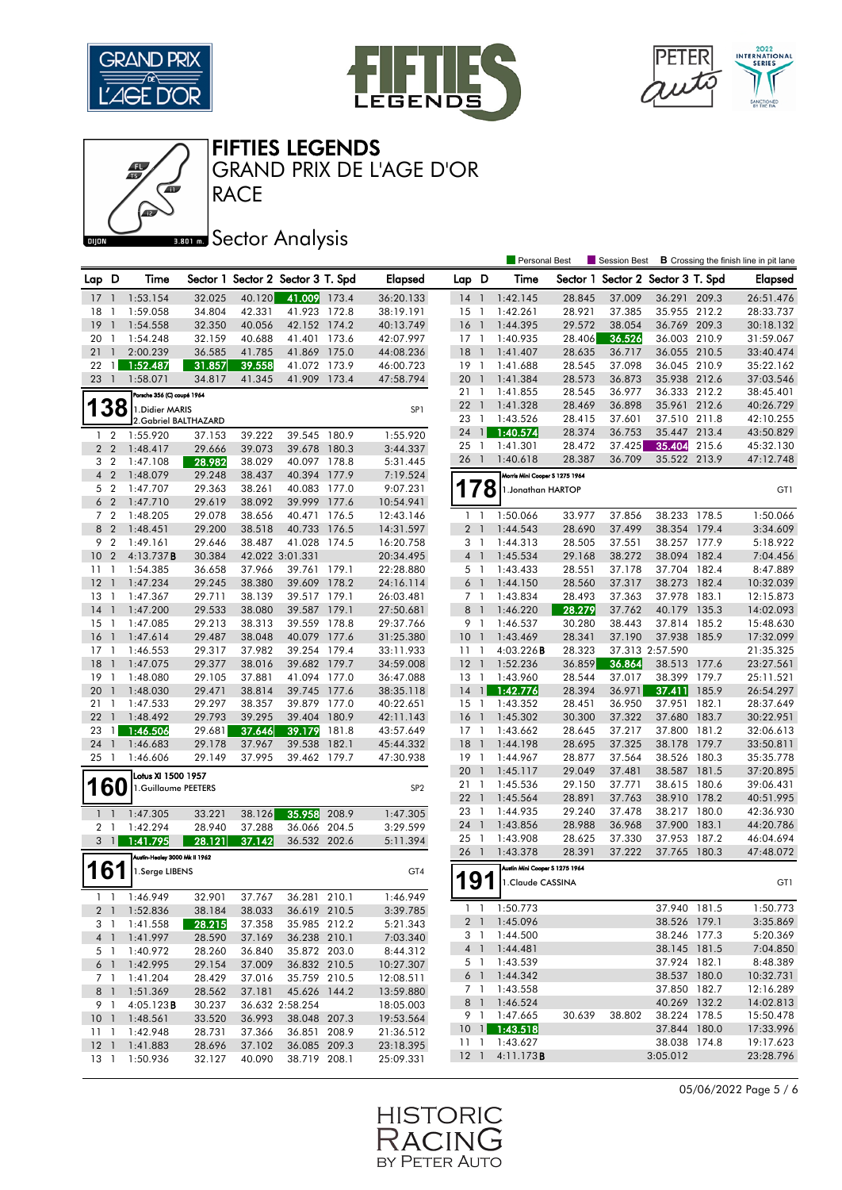![](_page_4_Picture_0.jpeg)

![](_page_4_Picture_1.jpeg)

![](_page_4_Picture_2.jpeg)

FIFTIES LEGENDS

GRAND PRIX DE L'AGE D'OR

# **BRON A** Sector Analysis

**RACE** 

|                 |                |                               |                  |        |                                   |       |                        |                 |                | <b>Personal Best</b>                 |          | Session Best             |                              |       | <b>B</b> Crossing the finish line in pit lane |
|-----------------|----------------|-------------------------------|------------------|--------|-----------------------------------|-------|------------------------|-----------------|----------------|--------------------------------------|----------|--------------------------|------------------------------|-------|-----------------------------------------------|
| Lap D           |                | Time                          |                  |        | Sector 1 Sector 2 Sector 3 T. Spd |       | <b>Elapsed</b>         | Lap D           |                | Time                                 | Sector 1 | Sector 2 Sector 3 T. Spd |                              |       | <b>Elapsed</b>                                |
| 17              | $\mathbf{1}$   | 1:53.154                      | 32.025           | 40.120 | 41.009                            | 173.4 | 36:20.133              | 14              | $\overline{1}$ | 1:42.145                             | 28.845   | 37.009                   | 36.291                       | 209.3 | 26:51.476                                     |
| 18              | -1             | 1:59.058                      | 34.804           | 42.331 | 41.923 172.8                      |       | 38:19.191              | 15              | $\overline{1}$ | 1:42.261                             | 28.921   | 37.385                   | 35.955 212.2                 |       | 28:33.737                                     |
| 19              | $\mathbf{1}$   | 1:54.558                      | 32.350           | 40.056 | 42.152 174.2                      |       | 40:13.749              | 16              | $\overline{1}$ | 1:44.395                             | 29.572   | 38.054                   | 36.769 209.3                 |       | 30:18.132                                     |
| 20              | $\mathbf{1}$   | 1:54.248                      | 32.159           | 40.688 | 41.401                            | 173.6 | 42:07.997              | $17-1$          |                | 1:40.935                             | 28.406   | 36.526                   | 36.003                       | 210.9 | 31:59.067                                     |
| 21              | $\overline{1}$ | 2:00.239                      | 36.585           | 41.785 | 41.869 175.0                      |       | 44:08.236              | 18              | $\overline{1}$ | 1:41.407                             | 28.635   | 36.717                   | 36.055 210.5                 |       | 33:40.474                                     |
| 22              | $\overline{1}$ | 1:52.487                      | 31.857           | 39.558 | 41.072 173.9                      |       | 46:00.723              | $19-1$          |                | 1:41.688                             | 28.545   | 37.098                   | 36.045                       | 210.9 | 35:22.162                                     |
| 23              | $\overline{1}$ | 1:58.071                      | 34.817           | 41.345 | 41.909 173.4                      |       | 47:58.794              | 20              | $\mathbf{1}$   | 1:41.384                             | 28.573   | 36.873                   | 35.938 212.6                 |       | 37:03.546                                     |
|                 |                | Porsche 356 (C) coupé 1964    |                  |        |                                   |       |                        | 211             |                | 1:41.855                             | 28.545   | 36.977                   | 36.333 212.2                 |       | 38:45.401                                     |
|                 | 38             | 1. Didier MARIS               |                  |        |                                   |       | SP <sub>1</sub>        | 22              | $\overline{1}$ | 1:41.328                             | 28.469   | 36.898                   | 35.961 212.6                 |       | 40:26.729                                     |
|                 |                | 2. Gabriel BALTHAZARD         |                  |        |                                   |       |                        | 23              | $\overline{1}$ | 1:43.526                             | 28.415   | 37.601                   | 37.510 211.8                 |       | 42:10.255                                     |
| $\mathbf{1}$    | $\overline{2}$ | 1:55.920                      | 37.153           | 39.222 | 39.545                            | 180.9 | 1:55.920               | 24              | $\mathbf{1}$   | 1:40.574                             | 28.374   | 36.753                   | 35.447 213.4                 |       | 43:50.829                                     |
|                 | 2 <sub>2</sub> | 1:48.417                      | 29.666           | 39.073 | 39.678 180.3                      |       | 3:44.337               | 25 <sub>1</sub> |                | 1:41.301                             | 28.472   | 37.425                   | 35.404                       | 215.6 | 45:32.130                                     |
| 3 <sub>2</sub>  |                | 1:47.108                      | 28.982           | 38.029 | 40.097 178.8                      |       | 5:31.445               | 26              | $\overline{1}$ | 1:40.618                             | 28.387   | 36.709                   | 35.522 213.9                 |       | 47:12.748                                     |
| $\overline{4}$  | $\overline{2}$ | 1:48.079                      | 29.248           | 38.437 | 40.394 177.9                      |       | 7:19.524               |                 |                | Morris Mini Cooper S 1275 1964       |          |                          |                              |       |                                               |
|                 | 5 <sub>2</sub> | 1:47.707                      | 29.363           | 38.261 | 40.083 177.0                      |       | 9:07.231               | 178             |                | 1. Jonathan HARTOP                   |          |                          |                              |       | GT1                                           |
|                 | 6 <sub>2</sub> | 1:47.710                      | 29.619           | 38.092 | 39.999 177.6                      |       | 10:54.941              |                 |                |                                      |          |                          |                              |       |                                               |
| 7 <sup>2</sup>  |                | 1:48.205                      | 29.078           | 38.656 | 40.471                            | 176.5 | 12:43.146              | $1\quad$        |                | 1:50.066                             | 33.977   | 37.856                   | 38.233 178.5                 |       | 1:50.066                                      |
|                 | 8 2            | 1:48.451                      | 29.200           | 38.518 | 40.733                            | 176.5 | 14:31.597              | 2 <sub>1</sub>  |                | 1:44.543                             | 28.690   | 37.499                   | 38.354 179.4                 |       | 3:34.609                                      |
| 9               | $\overline{2}$ | 1:49.161                      | 29.646           | 38.487 | 41.028                            | 174.5 | 16:20.758              | 3 <sup>1</sup>  |                | 1:44.313                             | 28.505   | 37.551                   | 38.257 177.9                 |       | 5:18.922                                      |
| 10 <sub>2</sub> |                | 4:13.737B                     | 30.384           |        | 42.022 3:01.331                   |       | 20:34.495              | 4 <sup>1</sup>  |                | 1:45.534                             | 29.168   | 38.272                   | 38.094 182.4                 |       | 7:04.456                                      |
| 11              | $\overline{1}$ | 1:54.385                      | 36.658           | 37.966 | 39.761 179.1                      |       | 22:28.880              | 5 1             |                | 1:43.433                             | 28.551   | 37.178                   | 37.704                       | 182.4 | 8:47.889                                      |
| 12              | $\overline{1}$ | 1:47.234                      | 29.245           | 38.380 | 39.609 178.2                      |       | 24:16.114              | 6 1             |                | 1:44.150                             | 28.560   | 37.317                   | 38.273 182.4                 |       | 10:32.039                                     |
| 13              | $\overline{1}$ | 1:47.367                      | 29.711           | 38.139 | 39.517 179.1                      |       | 26:03.481              | 7 <sub>1</sub>  |                | 1:43.834                             | 28.493   | 37.363                   | 37.978 183.1                 |       | 12:15.873                                     |
| 14              | $\overline{1}$ | 1:47.200                      | 29.533           | 38.080 | 39.587 179.1                      |       | 27:50.681              | 8 <sup>1</sup>  |                | 1:46.220                             | 28.279   | 37.762                   | 40.179 135.3                 |       | 14:02.093                                     |
| $15-1$          |                | 1:47.085                      | 29.213           | 38.313 | 39.559 178.8                      |       | 29:37.766              | 9 1             |                | 1:46.537                             | 30.280   | 38.443                   | 37.814 185.2                 |       | 15:48.630                                     |
| 16              | $\overline{1}$ | 1:47.614                      | 29.487           | 38.048 | 40.079                            | 177.6 | 31:25.380              | 10 <sub>1</sub> |                | 1:43.469                             | 28.341   | 37.190                   | 37.938                       | 185.9 | 17:32.099                                     |
| $17-1$          |                | 1:46.553                      | 29.317           | 37.982 | 39.254 179.4                      |       | 33:11.933              | $11-1$          |                | 4:03.226B                            | 28.323   |                          | 37.313 2:57.590              |       | 21:35.325                                     |
| 18              | $\overline{1}$ | 1:47.075                      | 29.377           | 38.016 | 39.682 179.7                      |       | 34:59.008              | 12              | $\overline{1}$ | 1:52.236                             | 36.859   | 36.864                   | 38.513                       | 177.6 | 23:27.561                                     |
| 19              | $\mathbf{1}$   | 1:48.080                      | 29.105           | 37.881 | 41.094 177.0                      |       | 36:47.088              | $13-1$          |                | 1:43.960                             | 28.544   | 37.017                   | 38.399 179.7                 |       | 25:11.521                                     |
| 20              | $\overline{1}$ | 1:48.030                      | 29.471           | 38.814 | 39.745 177.6                      |       | 38:35.118              | 14              | $\overline{1}$ | 1:42.776                             | 28.394   | 36.971                   | 37.411                       | 185.9 | 26:54.297                                     |
| 21              | $\overline{1}$ | 1:47.533                      | 29.297           | 38.357 | 39.879                            | 177.0 | 40:22.651              | $15-1$          |                | 1:43.352                             | 28.451   | 36.950                   | 37.951                       | 182.1 | 28:37.649                                     |
| 22              | $\mathbf{1}$   | 1:48.492                      | 29.793           | 39.295 | 39.404 180.9                      |       | 42:11.143              | 16              | $\blacksquare$ | 1:45.302                             | 30.300   | 37.322                   | 37.680                       | 183.7 | 30:22.951                                     |
| 23              | $\overline{1}$ | 1:46.506                      | 29.681           | 37.646 | 39.179                            | 181.8 | 43:57.649              | $17-1$          |                | 1:43.662                             | 28.645   | 37.217                   | 37.800                       | 181.2 | 32:06.613                                     |
| 24              | $\overline{1}$ | 1:46.683                      | 29.178           | 37.967 | 39.538                            | 182.1 | 45:44.332              | 18              | $\overline{1}$ | 1:44.198                             | 28.695   | 37.325                   | 38.178 179.7                 |       | 33:50.811                                     |
| 25              | -1             | 1:46.606                      | 29.149           | 37.995 | 39.462 179.7                      |       | 47:30.938              | $19-1$          |                | 1:44.967                             | 28.877   | 37.564                   | 38.526 180.3                 |       | 35:35.778                                     |
|                 |                | Lotus XI 1500 1957            |                  |        |                                   |       |                        | 20              | $\mathbf{1}$   | 1:45.117                             | 29.049   | 37.481                   | 38.587                       | 181.5 | 37:20.895                                     |
|                 | <b>160</b>     | 1.Guillaume PEETERS           |                  |        |                                   |       | SP <sub>2</sub>        | 211             |                | 1:45.536                             | 29.150   | 37.771                   | 38.615 180.6                 |       | 39:06.431                                     |
|                 |                |                               |                  |        |                                   |       |                        | $22 \quad 1$    |                | 1:45.564                             | 28.891   | 37.763                   | 38.910                       | 178.2 | 40:51.995                                     |
| 1 <sup>1</sup>  |                | 1:47.305                      | 33.221           | 38.126 | 35.958                            | 208.9 | 1:47.305               | 23 1            |                | 1:44.935                             | 29.240   | 37.478                   | 38.217 180.0                 |       | 42:36.930                                     |
| 2 <sub>1</sub>  |                | 1:42.294                      | 28.940           | 37.288 | 36.066                            | 204.5 | 3:29.599               | 24              | $\overline{1}$ | 1:43.856                             | 28.988   | 36.968                   | 37.900                       | 183.1 | 44:20.786                                     |
| 3               | $\overline{1}$ | 1:41.795                      | 28.121           | 37.142 | 36.532 202.6                      |       | 5:11.394               | 25              | $\overline{1}$ | 1:43.908                             | 28.625   | 37.330                   | 37.953                       | 187.2 | 46:04.694                                     |
|                 |                | Austin-Healey 3000 Mk II 1962 |                  |        |                                   |       |                        | 26 1            |                | 1:43.378                             | 28.391   | 37.222                   | 37.765 180.3                 |       | 47:48.072                                     |
| 161             |                | 1.Serge LIBENS                |                  |        |                                   |       | GT4                    |                 |                | Austin Mini Cooper S 1275 1964       |          |                          |                              |       |                                               |
|                 |                |                               |                  |        |                                   |       |                        | 191             |                | 1. Claude CASSINA                    |          |                          |                              |       | GT1                                           |
|                 |                | $1 \quad 1 \quad 1:46.949$    | 32.901           | 37.767 | 36.281 210.1                      |       | 1:46.949               |                 |                |                                      |          |                          |                              |       |                                               |
|                 |                | 2 1 1:52.836                  | 38.184           | 38.033 | 36.619 210.5                      |       | 3:39.785               | $1\quad1$       |                | 1:50.773                             |          |                          | 37.940 181.5                 |       | 1:50.773                                      |
|                 | 3 1            | 1:41.558                      | 28.215           | 37.358 | 35.985 212.2                      |       | 5:21.343               | 2 <sub>1</sub>  |                | 1:45.096                             |          |                          | 38.526 179.1                 |       | 3:35.869                                      |
|                 |                | 4 1 1:41.997                  | 28.590           | 37.169 | 36.238 210.1                      |       | 7:03.340               | 3 1             |                | 1:44.500<br>4 1 1:44.481             |          |                          | 38.246 177.3<br>38.145 181.5 |       | 5:20.369<br>7:04.850                          |
|                 |                | 5 1 1:40.972                  | 28.260           | 36.840 | 35.872 203.0                      |       | 8:44.312               |                 |                | 1:43.539                             |          |                          | 37.924 182.1                 |       | 8:48.389                                      |
|                 |                | 6 1 1:42.995                  | 29.154           | 37.009 | 36.832 210.5                      |       | 10:27.307              | 5 1<br>6 1      |                | 1:44.342                             |          |                          | 38.537 180.0                 |       | 10:32.731                                     |
|                 | 7 1            | 1:41.204                      | 28.429           | 37.016 | 35.759 210.5                      |       | 12:08.511              |                 |                | 7 1 1:43.558                         |          |                          | 37.850 182.7                 |       | 12:16.289                                     |
|                 | 8 1            | 1:51.369<br>4:05.123B         | 28.562           | 37.181 | 45.626 144.2                      |       | 13:59.880              |                 |                | 8 1 1:46.524                         |          |                          | 40.269 132.2                 |       | 14:02.813                                     |
| 9 1             |                | $10 \quad 1 \quad 1:48.561$   | 30.237<br>33.520 | 36.993 | 36.632 2:58.254<br>38.048 207.3   |       | 18:05.003<br>19:53.564 |                 | 9 1            | 1:47.665                             | 30.639   | 38.802                   | 38.224 178.5                 |       | 15:50.478                                     |
|                 |                | 11 1 1:42.948                 | 28.731           | 37.366 | 36.851 208.9                      |       | 21:36.512              |                 |                | 10 1 1:43.518                        |          |                          | 37.844 180.0                 |       | 17:33.996                                     |
|                 |                | 12 1 1:41.883                 | 28.696           | 37.102 | 36.085 209.3                      |       | 23:18.395              | $11-1$          |                | 1:43.627                             |          |                          | 38.038 174.8                 |       | 19:17.623                                     |
|                 |                | 13 1 1:50.936                 | 32.127           | 40.090 | 38.719 208.1                      |       | 25:09.331              |                 |                | $12 \quad 1 \quad 4:11.173$ <b>B</b> |          |                          | 3:05.012                     |       | 23:28.796                                     |
|                 |                |                               |                  |        |                                   |       |                        |                 |                |                                      |          |                          |                              |       |                                               |

05/06/2022 Page 5 / 6

![](_page_4_Picture_8.jpeg)